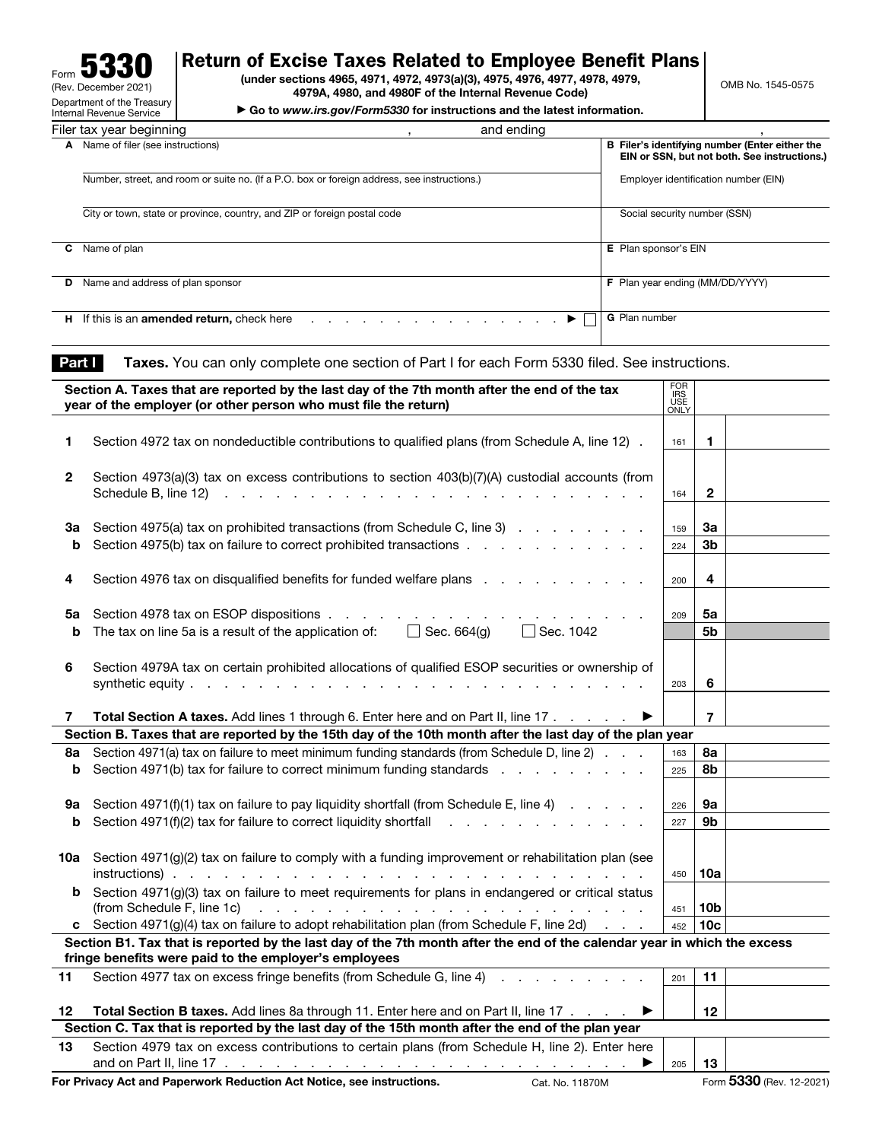| 55<br>J.<br>Form                                       |
|--------------------------------------------------------|
| (Rev. December 2021)                                   |
| Department of the Treasury<br>Internal Revenue Service |
|                                                        |

## Return of Excise Taxes Related to Employee Benefit Plans

(under sections 4965, 4971, 4972, 4973(a)(3), 4975, 4976, 4977, 4978, 4979, 4979A, 4980, and 4980F of the Internal Revenue Code)

▶ Go to *www.irs.gov/Form5330* for instructions and the latest information.

| Filer tax year beginning                                                                                                                | and ending                                                                                     |
|-----------------------------------------------------------------------------------------------------------------------------------------|------------------------------------------------------------------------------------------------|
| Name of filer (see instructions)<br>А                                                                                                   | B Filer's identifying number (Enter either the<br>EIN or SSN, but not both. See instructions.) |
| Number, street, and room or suite no. (If a P.O. box or foreign address, see instructions.)                                             | Employer identification number (EIN)                                                           |
| City or town, state or province, country, and ZIP or foreign postal code                                                                | Social security number (SSN)                                                                   |
| Name of plan<br>С                                                                                                                       | E Plan sponsor's EIN                                                                           |
| Name and address of plan sponsor<br>D                                                                                                   | F Plan year ending (MM/DD/YYYY)                                                                |
| If this is an <b>amended return</b> , check here<br>н<br>and the company of the company of the company of the company of the company of | <b>G</b> Plan number<br>▶                                                                      |

Part | Taxes. You can only complete one section of Part I for each Form 5330 filed. See instructions.

|              | Section A. Taxes that are reported by the last day of the 7th month after the end of the tax                                                                                                 | FOR<br>IRS<br>USE<br>ONLY |                 |                          |
|--------------|----------------------------------------------------------------------------------------------------------------------------------------------------------------------------------------------|---------------------------|-----------------|--------------------------|
|              | year of the employer (or other person who must file the return)                                                                                                                              |                           |                 |                          |
|              |                                                                                                                                                                                              |                           |                 |                          |
| 1            | Section 4972 tax on nondeductible contributions to qualified plans (from Schedule A, line 12).                                                                                               | 161                       | $\mathbf{1}$    |                          |
|              |                                                                                                                                                                                              |                           |                 |                          |
| $\mathbf{2}$ | Section 4973(a)(3) tax on excess contributions to section 403(b)(7)(A) custodial accounts (from                                                                                              | 164                       | $\mathbf{2}$    |                          |
|              |                                                                                                                                                                                              |                           |                 |                          |
| За           | Section 4975(a) tax on prohibited transactions (from Schedule C, line 3)                                                                                                                     | 159                       | За              |                          |
| b            | Section 4975(b) tax on failure to correct prohibited transactions                                                                                                                            | 224                       | 3b              |                          |
|              |                                                                                                                                                                                              |                           |                 |                          |
| 4            | Section 4976 tax on disqualified benefits for funded welfare plans                                                                                                                           | 200                       | 4               |                          |
|              |                                                                                                                                                                                              |                           |                 |                          |
| 5a           | Section 4978 tax on ESOP dispositions.<br>the contract of the contract of                                                                                                                    | 209                       | 5a              |                          |
| b            | The tax on line 5a is a result of the application of: $\Box$ Sec. 664(g)<br>□ Sec. 1042                                                                                                      |                           | 5b              |                          |
|              |                                                                                                                                                                                              |                           |                 |                          |
| 6            | Section 4979A tax on certain prohibited allocations of qualified ESOP securities or ownership of                                                                                             |                           |                 |                          |
|              |                                                                                                                                                                                              | 203                       | 6               |                          |
|              |                                                                                                                                                                                              |                           |                 |                          |
| 7            | Total Section A taxes. Add lines 1 through 6. Enter here and on Part II, line 17<br>Section B. Taxes that are reported by the 15th day of the 10th month after the last day of the plan year |                           | $\overline{7}$  |                          |
| 8а           | Section 4971(a) tax on failure to meet minimum funding standards (from Schedule D, line 2)                                                                                                   | 163                       | 8а              |                          |
| b            | Section 4971(b) tax for failure to correct minimum funding standards                                                                                                                         | 225                       | 8b              |                          |
|              |                                                                                                                                                                                              |                           |                 |                          |
| 9а           | Section $4971(f)(1)$ tax on failure to pay liquidity shortfall (from Schedule E, line 4) $\ldots$                                                                                            | 226                       | 9а              |                          |
| b            |                                                                                                                                                                                              | 227                       | 9b              |                          |
|              |                                                                                                                                                                                              |                           |                 |                          |
| 10a          | Section 4971(g)(2) tax on failure to comply with a funding improvement or rehabilitation plan (see                                                                                           |                           |                 |                          |
|              |                                                                                                                                                                                              | 450                       | 10a             |                          |
|              | <b>b</b> Section 4971(g)(3) tax on failure to meet requirements for plans in endangered or critical status                                                                                   |                           |                 |                          |
|              |                                                                                                                                                                                              | 451                       | 10b             |                          |
|              | c Section 4971(g)(4) tax on failure to adopt rehabilitation plan (from Schedule F, line 2d) $\ldots$                                                                                         | 452                       | 10 <sub>c</sub> |                          |
|              | Section B1. Tax that is reported by the last day of the 7th month after the end of the calendar year in which the excess<br>fringe benefits were paid to the employer's employees            |                           |                 |                          |
| 11           | Section 4977 tax on excess fringe benefits (from Schedule G, line 4)                                                                                                                         |                           | 11              |                          |
|              |                                                                                                                                                                                              | 201                       |                 |                          |
| 12           | <b>Total Section B taxes.</b> Add lines 8a through 11. Enter here and on Part II, line 17<br>▶                                                                                               |                           | 12              |                          |
|              | Section C. Tax that is reported by the last day of the 15th month after the end of the plan year                                                                                             |                           |                 |                          |
| 13           | Section 4979 tax on excess contributions to certain plans (from Schedule H, line 2). Enter here                                                                                              |                           |                 |                          |
|              | ▶                                                                                                                                                                                            | 205                       | 13              |                          |
|              | For Privacy Act and Paperwork Reduction Act Notice, see instructions.<br>Cat. No. 11870M                                                                                                     |                           |                 | Form 5330 (Rev. 12-2021) |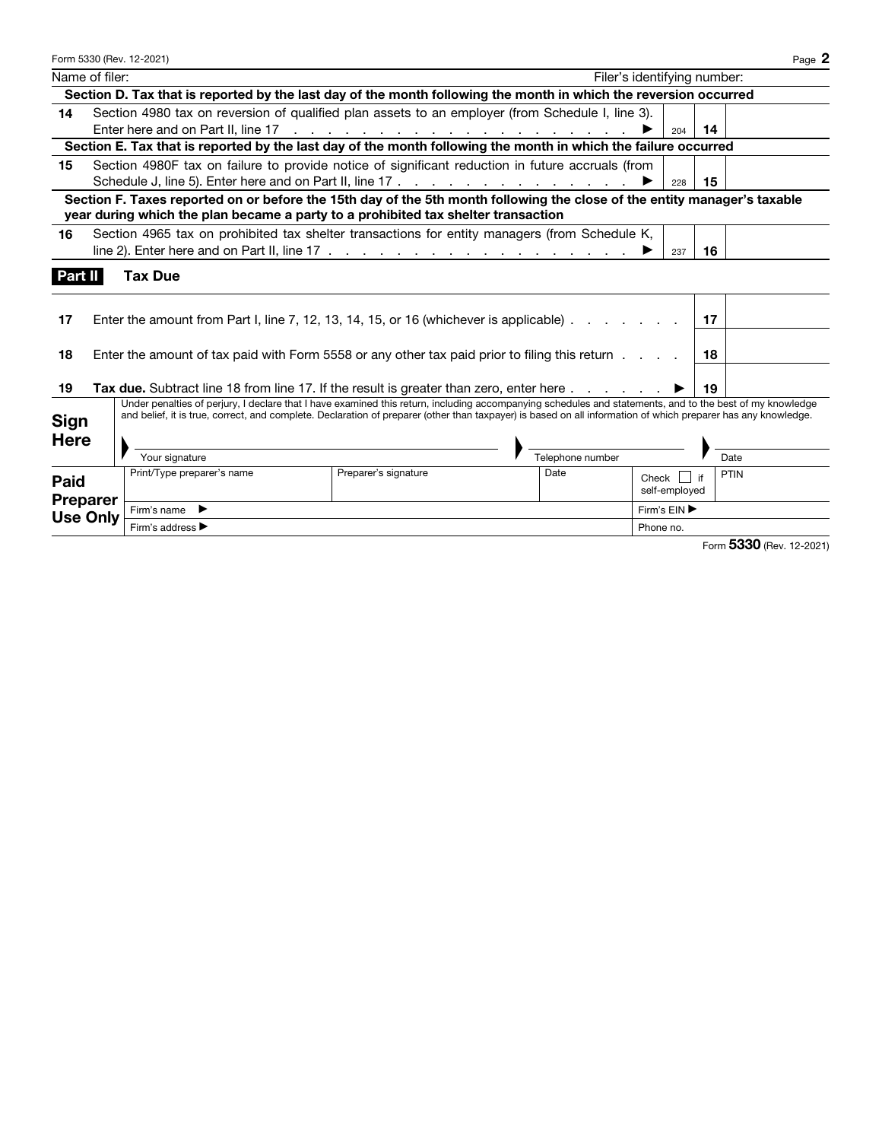|                 | Form 5330 (Rev. 12-2021)                                                                                                                                                                                                                                                                                                  |                      |                             |                 |            | Page 2                   |
|-----------------|---------------------------------------------------------------------------------------------------------------------------------------------------------------------------------------------------------------------------------------------------------------------------------------------------------------------------|----------------------|-----------------------------|-----------------|------------|--------------------------|
| Name of filer:  |                                                                                                                                                                                                                                                                                                                           |                      | Filer's identifying number: |                 |            |                          |
|                 | Section D. Tax that is reported by the last day of the month following the month in which the reversion occurred                                                                                                                                                                                                          |                      |                             |                 |            |                          |
| 14              | Section 4980 tax on reversion of qualified plan assets to an employer (from Schedule I, line 3).                                                                                                                                                                                                                          |                      |                             |                 |            |                          |
|                 |                                                                                                                                                                                                                                                                                                                           |                      |                             | 204             | 14         |                          |
|                 | Section E. Tax that is reported by the last day of the month following the month in which the failure occurred                                                                                                                                                                                                            |                      |                             |                 |            |                          |
| 15              | Section 4980F tax on failure to provide notice of significant reduction in future accruals (from                                                                                                                                                                                                                          |                      |                             |                 |            |                          |
|                 |                                                                                                                                                                                                                                                                                                                           |                      |                             | 228             | 15         |                          |
|                 | Section F. Taxes reported on or before the 15th day of the 5th month following the close of the entity manager's taxable                                                                                                                                                                                                  |                      |                             |                 |            |                          |
|                 | year during which the plan became a party to a prohibited tax shelter transaction                                                                                                                                                                                                                                         |                      |                             |                 |            |                          |
| 16              | Section 4965 tax on prohibited tax shelter transactions for entity managers (from Schedule K,                                                                                                                                                                                                                             |                      |                             |                 |            |                          |
|                 | line 2). Enter here and on Part II, line 17 $\ldots$ $\ldots$ $\ldots$ $\ldots$ $\ldots$ $\ldots$ $\ldots$                                                                                                                                                                                                                |                      |                             | 237             | 16         |                          |
| Part II         | <b>Tax Due</b>                                                                                                                                                                                                                                                                                                            |                      |                             |                 |            |                          |
|                 |                                                                                                                                                                                                                                                                                                                           |                      |                             |                 |            |                          |
|                 |                                                                                                                                                                                                                                                                                                                           |                      |                             |                 |            |                          |
| 17              | Enter the amount from Part I, line 7, 12, 13, 14, 15, or 16 (whichever is applicable)                                                                                                                                                                                                                                     |                      |                             |                 | -17        |                          |
|                 |                                                                                                                                                                                                                                                                                                                           |                      |                             |                 |            |                          |
| 18              | Enter the amount of tax paid with Form 5558 or any other tax paid prior to filing this return                                                                                                                                                                                                                             |                      |                             |                 | -18        |                          |
|                 |                                                                                                                                                                                                                                                                                                                           |                      |                             |                 |            |                          |
| 19              | Tax due. Subtract line 18 from line 17. If the result is greater than zero, enter here $\ldots$ $\ldots$                                                                                                                                                                                                                  |                      |                             |                 | 19         |                          |
|                 | Under penalties of perjury, I declare that I have examined this return, including accompanying schedules and statements, and to the best of my knowledge<br>and belief, it is true, correct, and complete. Declaration of preparer (other than taxpayer) is based on all information of which preparer has any knowledge. |                      |                             |                 |            |                          |
| <b>Sign</b>     |                                                                                                                                                                                                                                                                                                                           |                      |                             |                 |            |                          |
| <b>Here</b>     |                                                                                                                                                                                                                                                                                                                           |                      |                             |                 |            |                          |
|                 | Your signature                                                                                                                                                                                                                                                                                                            |                      | Telephone number            |                 | Date       |                          |
| Paid            | Print/Type preparer's name                                                                                                                                                                                                                                                                                                | Preparer's signature | Date                        | $Check$ $\vert$ | PTIN<br>if |                          |
| <b>Preparer</b> |                                                                                                                                                                                                                                                                                                                           |                      |                             | self-employed   |            |                          |
| <b>Use Only</b> | Firm's name $\blacktriangleright$                                                                                                                                                                                                                                                                                         |                      |                             | Firm's EIN ▶    |            |                          |
|                 | Firm's address ▶                                                                                                                                                                                                                                                                                                          |                      |                             | Phone no.       |            |                          |
|                 |                                                                                                                                                                                                                                                                                                                           |                      |                             |                 |            | Form 5330 (Rev. 12-2021) |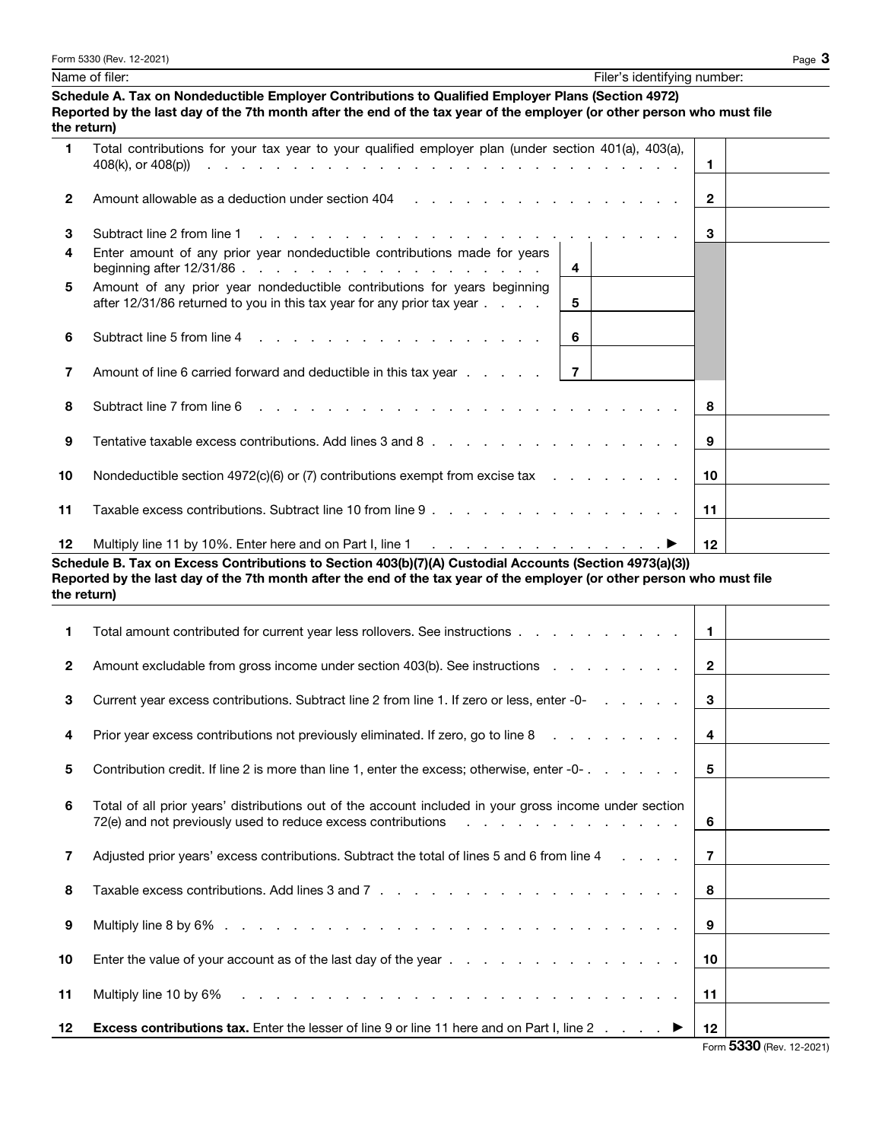|                | Name of filer:                                                                                                                                                                                                                              | Filer's identifying number: |                |  |
|----------------|---------------------------------------------------------------------------------------------------------------------------------------------------------------------------------------------------------------------------------------------|-----------------------------|----------------|--|
|                | Schedule A. Tax on Nondeductible Employer Contributions to Qualified Employer Plans (Section 4972)<br>Reported by the last day of the 7th month after the end of the tax year of the employer (or other person who must file<br>the return) |                             |                |  |
| 1              | Total contributions for your tax year to your qualified employer plan (under section 401(a), 403(a),                                                                                                                                        |                             | $\blacksquare$ |  |
| $\overline{2}$ |                                                                                                                                                                                                                                             |                             | $\mathbf{2}$   |  |
| 3              | Subtract line 2 from line 1                                                                                                                                                                                                                 |                             | 3              |  |
| 4              | Enter amount of any prior year nondeductible contributions made for years                                                                                                                                                                   | 4                           |                |  |
| 5              | Amount of any prior year nondeductible contributions for years beginning<br>after $12/31/86$ returned to you in this tax year for any prior tax year $\ldots$ .                                                                             | 5                           |                |  |
| 6              |                                                                                                                                                                                                                                             | 6                           |                |  |
| 7              | Amount of line 6 carried forward and deductible in this tax year                                                                                                                                                                            | $\overline{7}$              |                |  |
| 8              | Subtract line 7 from line 6                                                                                                                                                                                                                 |                             | 8              |  |
| 9              | Tentative taxable excess contributions. Add lines 3 and 8 $\ldots$ . $\ldots$ . $\ldots$ . $\ldots$ . $\ldots$                                                                                                                              |                             | 9              |  |

10 Nondeductible section 4972(c)(6) or (7) contributions exempt from excise tax  $\ldots$  . . . . . . . 10

11 Taxable excess contributions. Subtract line 10 from line 9 . . . . . . . . . . . . . . . 11

12 Multiply line 11 by 10%. Enter here and on Part I, line 1  $\ldots$  . . . . . . . . . . . . .  $\blacktriangleright$  12 Schedule B. Tax on Excess Contributions to Section 403(b)(7)(A) Custodial Accounts (Section 4973(a)(3))

1 Total amount contributed for current year less rollovers. See instructions . . . . . . . . . . . 1

2 Amount excludable from gross income under section  $403(b)$ . See instructions  $\ldots$  . . . . . . . 2

3 Current year excess contributions. Subtract line 2 from line 1. If zero or less, enter -0- . . . . . . 3

4 Prior year excess contributions not previously eliminated. If zero, go to line 8 . . . . . . . . . 4

5 Contribution credit. If line 2 is more than line 1, enter the excess; otherwise, enter  $-0$ - . . . . . .  $\vert 5$ 

7 Adjusted prior years' excess contributions. Subtract the total of lines 5 and 6 from line 4  $\ldots$ .  $\mid$  7

8 Taxable excess contributions. Add lines 3 and 7  $\ldots$  . . . . . . . . . . . . . . . . . 8

9 Multiply line 8 by 6% . . . . . . . . . . . . . . . . . . . . . . . . . . . 9

10 Enter the value of your account as of the last day of the year  $\ldots$  . . . . . . . . . . . . . 10

11 Multiply line 10 by 6% . . . . . . . . . . . . . . . . . . . . . . . . . . 11

12 Excess contributions tax. Enter the lesser of line 9 or line 11 here and on Part I, line 2  $\dots$   $\blacktriangleright$  12

72(e) and not previously used to reduce excess contributions  $\cdot$  . . . . . . . . . . . . . . . . 6

6 Total of all prior years' distributions out of the account included in your gross income under section

the return)

Reported by the last day of the 7th month after the end of the tax year of the employer (or other person who must file

|  |  | Form 5330 (Rev. 12-2021) |
|--|--|--------------------------|
|  |  |                          |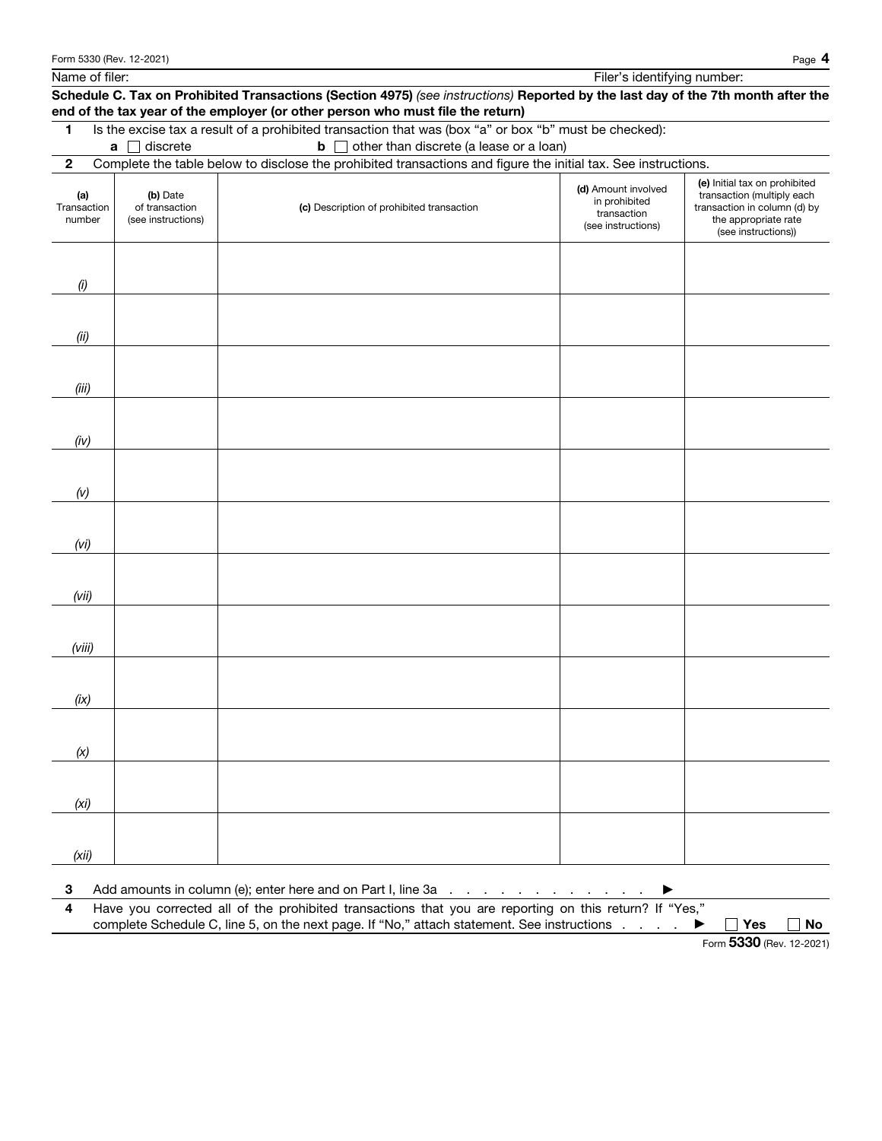Name of filer: Filer's identifying number: Filer's identifying number:

## Schedule C. Tax on Prohibited Transactions (Section 4975) *(see instructions)* Reported by the last day of the 7th month after the end of the tax year of the employer (or other person who must file the return) 1 Is the excise tax a result of a prohibited transaction that was (box "a" or box "b" must be checked): **a** discrete **b** other than discrete (a lease or a loan) 2 Complete the table below to disclose the prohibited transactions and figure the initial tax. See instructions. (a) Transaction number (b) Date of transaction (see instructions) (c) Description of prohibited transaction (d) Amount involved in prohibited transaction (see instructions) (e) Initial tax on prohibited transaction (multiply each transaction in column (d) by the appropriate rate (see instructions)) *(i) (ii) (iii) (iv) (v) (vi) (vii) (viii) (ix) (x) (xi) (xii)*

3 Add amounts in column (e); enter here and on Part I, line 3a  $\ldots$  . . . . . . . . .  $\blacktriangleright$ 

4 Have you corrected all of the prohibited transactions that you are reporting on this return? If "Yes," complete Schedule C, line 5, on the next page. If "No," attach statement. See instructions  $\ldots$   $\blacktriangleright$   $\Box$  Yes  $\Box$  No

Form 5330 (Rev. 12-2021)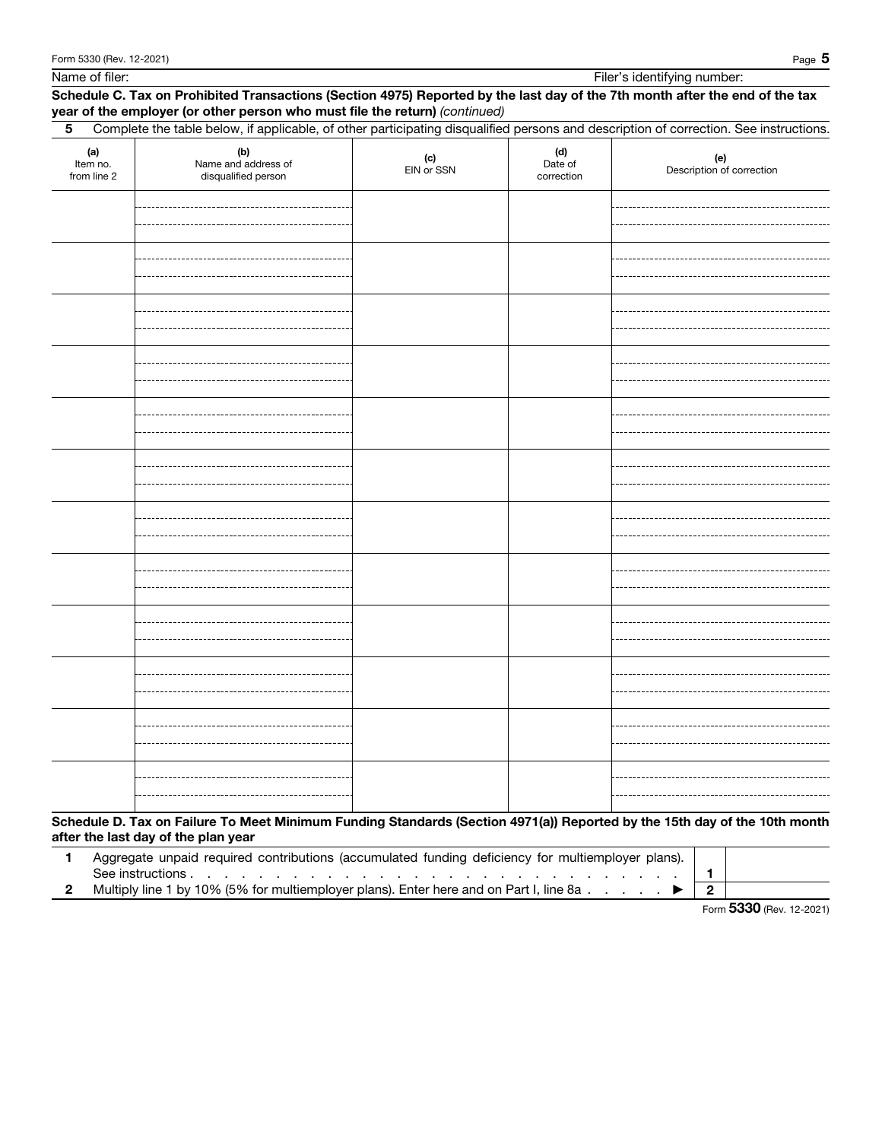| Page <b>D</b> |
|---------------|
|               |

Name of filer: Filer's identifying number:

## Schedule C. Tax on Prohibited Transactions (Section 4975) Reported by the last day of the 7th month after the end of the tax year of the employer (or other person who must file the return) *(continued)*

| (a)<br>Item no.<br>from line 2 | (b)<br>Name and address of<br>disqualified person | $(c)$<br>EIN or SSN | (d)<br>Date of<br>correction | (e)<br>Description of correction |
|--------------------------------|---------------------------------------------------|---------------------|------------------------------|----------------------------------|
|                                |                                                   |                     |                              |                                  |
|                                |                                                   |                     |                              |                                  |
|                                |                                                   |                     |                              |                                  |
|                                |                                                   |                     |                              |                                  |
|                                |                                                   |                     |                              |                                  |
|                                |                                                   |                     |                              |                                  |
|                                |                                                   |                     |                              |                                  |
|                                |                                                   |                     |                              |                                  |
|                                |                                                   |                     |                              |                                  |
|                                |                                                   |                     |                              |                                  |
|                                |                                                   |                     |                              |                                  |
|                                |                                                   |                     |                              |                                  |

| Aggregate unpaid required contributions (accumulated funding deficiency for multiemployer plans). |  |
|---------------------------------------------------------------------------------------------------|--|
| See instructions                                                                                  |  |
| Multiply line 1 by 10% (5% for multiemployer plans). Enter here and on Part I, line 8a            |  |

Form 5330 (Rev. 12-2021)